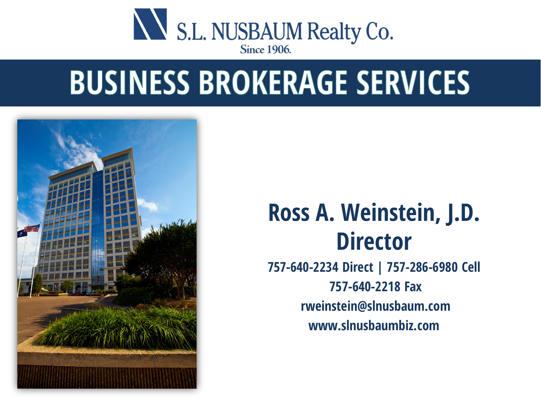

### **BUSINESS BROKERAGE SERVICES**



### **Ross A. Weinstein, J.D. Director**

**757-640-2234 Direct | 757-286-6980 Cell 757-640-2218 Fax rweinstein@slnusbaum.com www.slnusbaumbiz.com**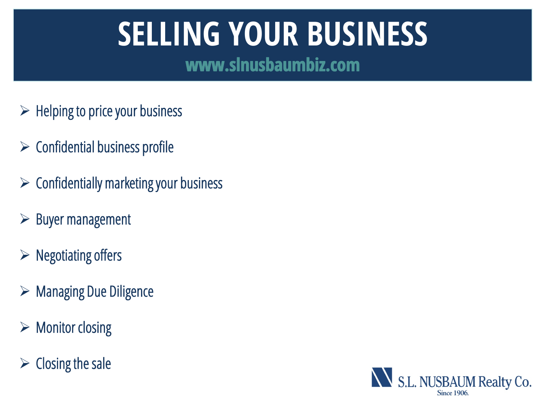# **SELLING YOUR BUSINESS**

www.slnusbaumbiz.com

- $\triangleright$  Helping to price your business
- $\triangleright$  Confidential business profile
- $\triangleright$  Confidentially marketing your business
- $\triangleright$  Buyer management
- $\triangleright$  Negotiating offers
- $\triangleright$  Managing Due Diligence
- $\triangleright$  Monitor closing
- $\triangleright$  Closing the sale

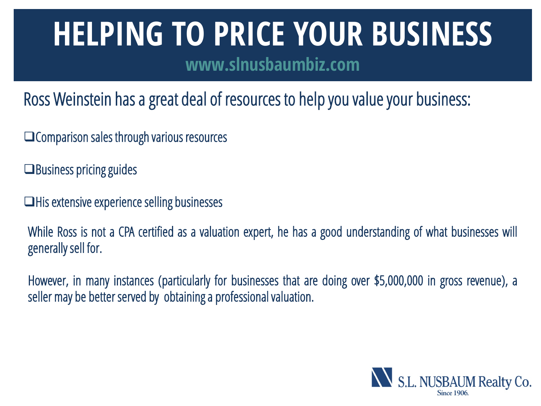### **HELPING TO PRICE YOUR BUSINESS**

**www.slnusbaumbiz.com**

Ross Weinstein has a great deal of resources to help you value your business:

- **□ Comparison sales through various resources**
- $\Box$  Business pricing guides
- $\Box$  His extensive experience selling businesses

While Ross is not a CPA certified as a valuation expert, he has a good understanding of what businesses will generally sell for.

However, in many instances (particularly for businesses that are doing over \$5,000,000 in gross revenue), a seller may be better served by obtaining a professional valuation.

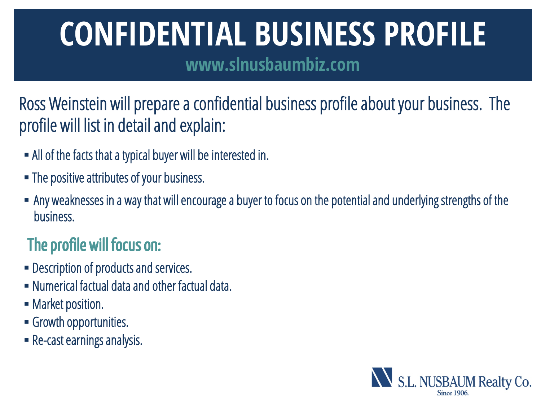## **CONFIDENTIAL BUSINESS PROFILE**

**www.slnusbaumbiz.com**

Ross Weinstein will prepare a confidential business profile about your business. The profile will list in detail and explain:

- All of the facts that a typical buyer will be interested in.
- The positive attributes of your business.
- Any weaknesses in a way that will encourage a buyer to focus on the potential and underlying strengths of the business.

### The profile will focus on:

- Description of products and services.
- Numerical factual data and other factual data.
- Market position.
- Growth opportunities.
- Re-cast earnings analysis.

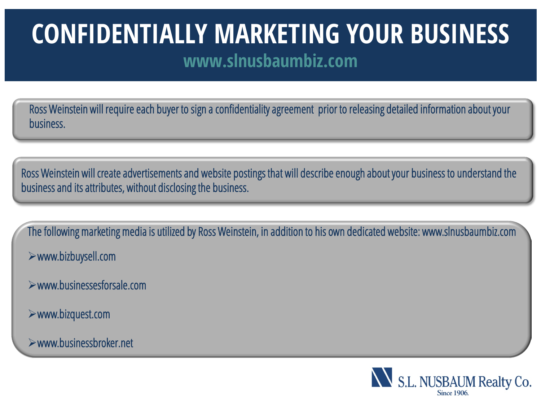### **CONFIDENTIALLY MARKETING YOUR BUSINESS www.slnusbaumbiz.com**

Ross Weinstein will require each buyer to sign a confidentiality agreement prior to releasing detailed information about your business.

Ross Weinstein will create advertisements and website postings that will describe enough about your business to understand the business and its attributes, without disclosing the business.

The following marketing media is utilized by Ross Weinstein, in addition to his own dedicated website: www.slnusbaumbiz.com www.bizbuysell.com

- www.businessesforsale.com
- www.bizquest.com

l

www.businessbroker.net

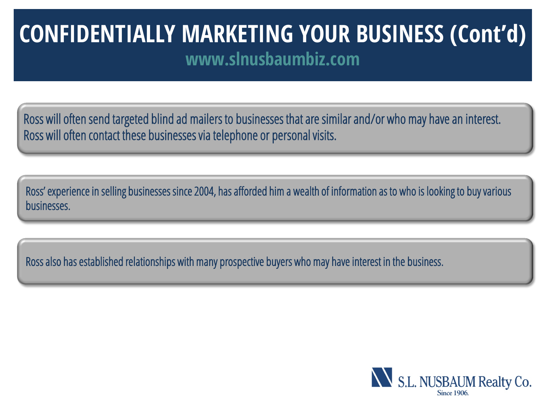### **CONFIDENTIALLY MARKETING YOUR BUSINESS (Cont'd) www.slnusbaumbiz.com**

Ross will often send targeted blind ad mailers to businesses that are similar and/or who may have an interest. Ross will often contact these businesses via telephone or personal visits.

Ross' experience in selling businesses since 2004, has afforded him a wealth of information as to who is looking to buy various businesses.

Ross also has established relationships with many prospective buyers who may have interest in the business.

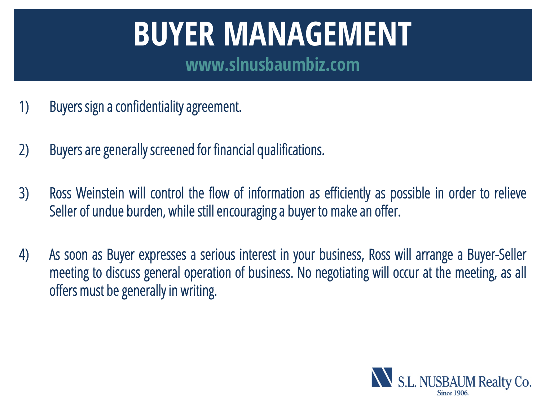# **BUYER MANAGEMENT**

**www.slnusbaumbiz.com**

- 1) Buyers sign a confidentiality agreement.
- 2) Buyers are generally screened for financial qualifications.
- 3) Ross Weinstein will control the flow of information as efficiently as possible in order to relieve Seller of undue burden, while still encouraging a buyer to make an offer.
- 4) As soon as Buyer expresses a serious interest in your business, Ross will arrange a Buyer-Seller meeting to discuss general operation of business. No negotiating will occur at the meeting, as all offers must be generally in writing.

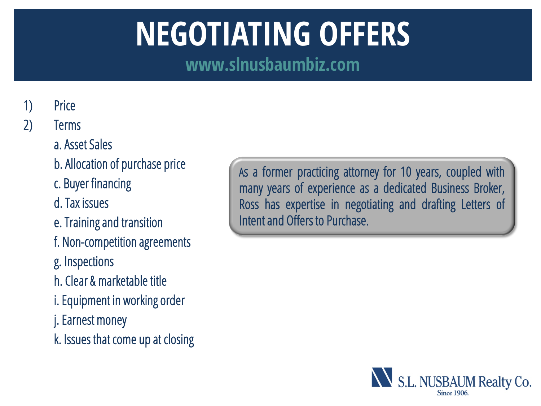## **NEGOTIATING OFFERS**

**www.slnusbaumbiz.com**

#### 1) Price

#### 2) Terms

#### a. Asset Sales

- b. Allocation of purchase price
- c. Buyer financing
- d. Tax issues
- e. Training and transition
- f. Non-competition agreements
- g. Inspections
- h. Clear & marketable title
- i. Equipment in working order
- j. Earnest money
- k. Issues that come up at closing

As a former practicing attorney for 10 years, coupled with many years of experience as a dedicated Business Broker, Ross has expertise in negotiating and drafting Letters of Intent and Offers to Purchase.

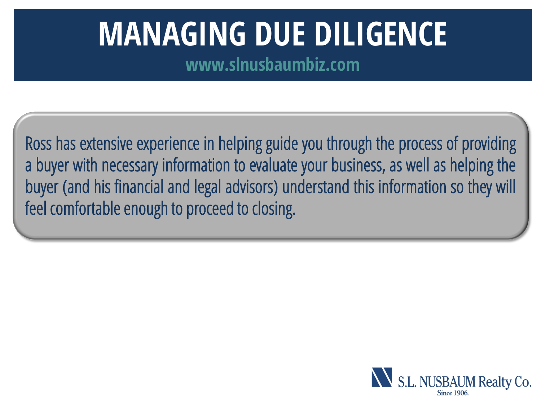## **MANAGING DUE DILIGENCE**

**www.slnusbaumbiz.com**

Ross has extensive experience in helping guide you through the process of providing a buyer with necessary information to evaluate your business, as well as helping the buyer (and his financial and legal advisors) understand this information so they will feel comfortable enough to proceed to closing.

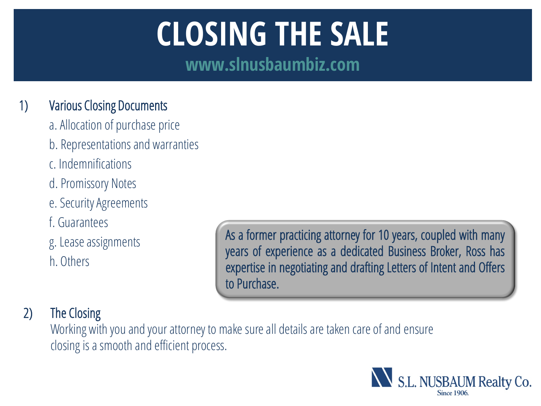# **CLOSING THE SALE**

**www.slnusbaumbiz.com**

#### 1) Various Closing Documents

- a. Allocation of purchase price
- b. Representations and warranties
- c. Indemnifications
- d. Promissory Notes
- e. Security Agreements
- f. Guarantees
- g. Lease assignments
- h. Others

As a former practicing attorney for 10 years, coupled with many years of experience as a dedicated Business Broker, Ross has expertise in negotiating and drafting Letters of Intent and Offers to Purchase.

#### 2) The Closing

 Working with you and your attorney to make sure all details are taken care of and ensure closing is a smooth and efficient process.

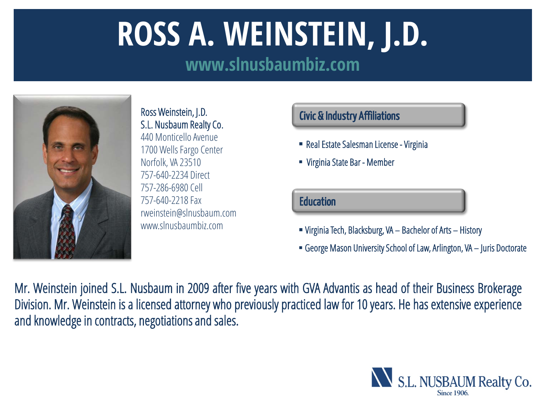# **ROSS A. WEINSTEIN, J.D.**

**www.slnusbaumbiz.com**



Ross Weinstein, J.D. S.L. Nusbaum Realty Co. 440 Monticello Avenue 1700 Wells Fargo Center Norfolk, VA 23510 757-640-2234 Direct 757-286-6980 Cell 757-640-2218 Fax rweinstein@slnusbaum.com www.slnusbaumbiz.com

#### Civic & Industry Affiliations

- Real Estate Salesman License Virginia
- Virginia State Bar Member

#### **Education**

- Virginia Tech, Blacksburg, VA Bachelor of Arts History
- George Mason University School of Law, Arlington, VA Juris Doctorate

Mr. Weinstein joined S.L. Nusbaum in 2009 after five years with GVA Advantis as head of their Business Brokerage Division. Mr. Weinstein is a licensed attorney who previously practiced law for 10 years. He has extensive experience and knowledge in contracts, negotiations and sales.